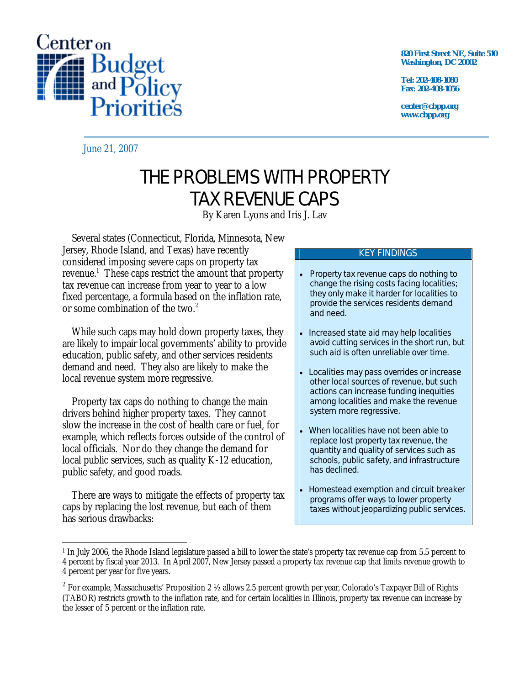

**820 First Street NE, Suite 510 Washington, DC 20002** 

**Tel: 202-408-1080 Fax: 202-408-1056** 

**center@cbpp.org www.cbpp.org** 

June 21, 2007

# THE PROBLEMS WITH PROPERTY TAX REVENUE CAPS

By Karen Lyons and Iris J. Lav

 Several states (Connecticut, Florida, Minnesota, New Jersey, Rhode Island, and Texas) have recently considered imposing severe caps on property tax revenue.<sup>1</sup> These caps restrict the amount that property tax revenue can increase from year to year to a low fixed percentage, a formula based on the inflation rate, or some combination of the two.<sup>2</sup>

 While such caps may hold down property taxes, they are likely to impair local governments' ability to provide education, public safety, and other services residents demand and need. They also are likely to make the local revenue system more regressive.

 Property tax caps do nothing to change the main drivers behind higher property taxes. They cannot slow the increase in the cost of health care or fuel, for example, which reflects forces outside of the control of local officials. Nor do they change the demand for local public services, such as quality K-12 education, public safety, and good roads.

 There are ways to mitigate the effects of property tax caps by replacing the lost revenue, but each of them has serious drawbacks:

#### KEY FINDINGS

- Property tax revenue caps do nothing to change the rising costs facing localities; they only make it harder for localities to provide the services residents demand and need.
- Increased state aid may help localities avoid cutting services in the short run, but such aid is often unreliable over time.
- Localities may pass overrides or increase other local sources of revenue, but such actions can increase funding inequities among localities and make the revenue system more regressive.
- When localities have not been able to replace lost property tax revenue, the quantity and quality of services such as schools, public safety, and infrastructure has declined.
- Homestead exemption and circuit breaker programs offer ways to lower property taxes without jeopardizing public services.

 $\overline{a}$ 1 In July 2006, the Rhode Island legislature passed a bill to lower the state's property tax revenue cap from 5.5 percent to 4 percent by fiscal year 2013. In April 2007, New Jersey passed a property tax revenue cap that limits revenue growth to 4 percent per year for five years.

<sup>&</sup>lt;sup>2</sup> For example, Massachusetts' Proposition 2  $\frac{1}{2}$  allows 2.5 percent growth per year, Colorado's Taxpayer Bill of Rights (TABOR) restricts growth to the inflation rate, and for certain localities in Illinois, property tax revenue can increase by the lesser of 5 percent or the inflation rate.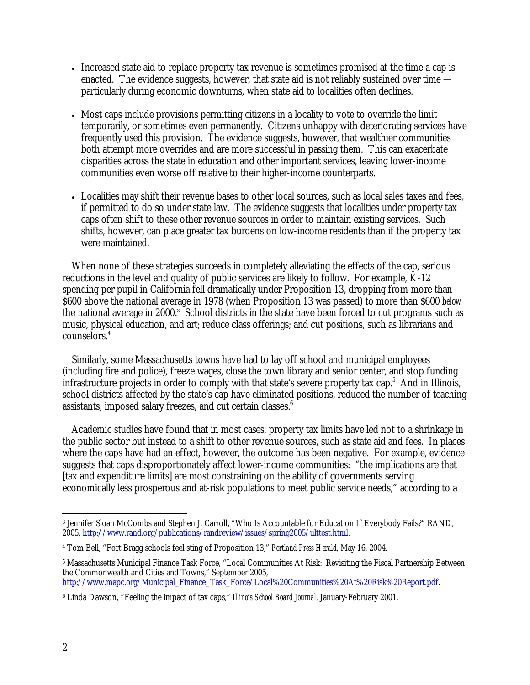- Increased state aid to replace property tax revenue is sometimes promised at the time a cap is enacted. The evidence suggests, however, that state aid is not reliably sustained over time particularly during economic downturns, when state aid to localities often declines.
- Most caps include provisions permitting citizens in a locality to vote to override the limit temporarily, or sometimes even permanently. Citizens unhappy with deteriorating services have frequently used this provision. The evidence suggests, however, that wealthier communities both attempt more overrides and are more successful in passing them. This can exacerbate disparities across the state in education and other important services, leaving lower-income communities even worse off relative to their higher-income counterparts.
- Localities may shift their revenue bases to other local sources, such as local sales taxes and fees, if permitted to do so under state law. The evidence suggests that localities under property tax caps often shift to these other revenue sources in order to maintain existing services. Such shifts, however, can place greater tax burdens on low-income residents than if the property tax were maintained.

 When none of these strategies succeeds in completely alleviating the effects of the cap, serious reductions in the level and quality of public services are likely to follow. For example, K-12 spending per pupil in California fell dramatically under Proposition 13, dropping from more than \$600 above the national average in 1978 (when Proposition 13 was passed) to more than \$600 *below* the national average in 2000.<sup>3</sup> School districts in the state have been forced to cut programs such as music, physical education, and art; reduce class offerings; and cut positions, such as librarians and counselors.4

 Similarly, some Massachusetts towns have had to lay off school and municipal employees (including fire and police), freeze wages, close the town library and senior center, and stop funding infrastructure projects in order to comply with that state's severe property tax cap.<sup>5</sup> And in Illinois, school districts affected by the state's cap have eliminated positions, reduced the number of teaching assistants, imposed salary freezes, and cut certain classes.<sup>6</sup>

 Academic studies have found that in most cases, property tax limits have led not to a shrinkage in the public sector but instead to a shift to other revenue sources, such as state aid and fees. In places where the caps have had an effect, however, the outcome has been negative. For example, evidence suggests that caps disproportionately affect lower-income communities: "the implications are that [tax and expenditure limits] are most constraining on the ability of governments serving economically less prosperous and at-risk populations to meet public service needs," according to a

<sup>-</sup>3 Jennifer Sloan McCombs and Stephen J. Carroll, "Who Is Accountable for Education If Everybody Fails?" RAND, 2005, http://www.rand.org/publications/randreview/issues/spring2005/ulttest.html.

<sup>4</sup> Tom Bell, "Fort Bragg schools feel sting of Proposition 13," *Portland Press Herald,* May 16, 2004.

<sup>5</sup> Massachusetts Municipal Finance Task Force, "Local Communities At Risk: Revisiting the Fiscal Partnership Between the Commonwealth and Cities and Towns," September 2005, http://www.mapc.org/Municipal\_Finance\_Task\_Force/Local%20Communities%20At%20Risk%20Report.pdf.

<sup>6</sup> Linda Dawson, "Feeling the impact of tax caps," *Illinois School Board Journal,* January-February 2001.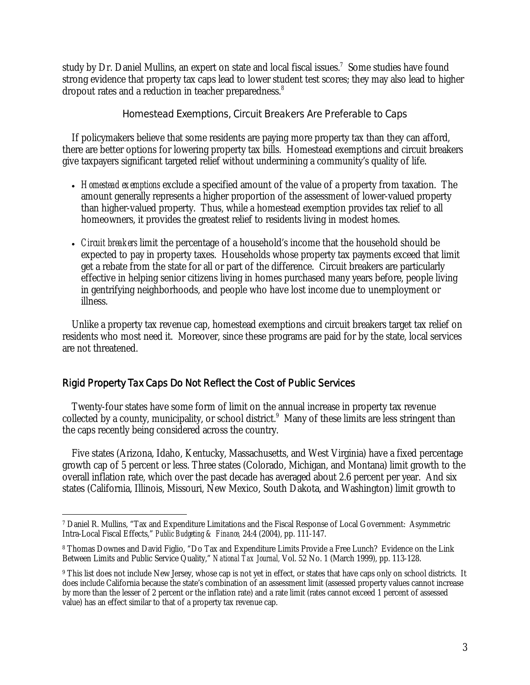study by Dr. Daniel Mullins, an expert on state and local fiscal issues.<sup>7</sup> Some studies have found strong evidence that property tax caps lead to lower student test scores; they may also lead to higher dropout rates and a reduction in teacher preparedness.<sup>8</sup>

## Homestead Exemptions, Circuit Breakers Are Preferable to Caps

 If policymakers believe that some residents are paying more property tax than they can afford, there are better options for lowering property tax bills. Homestead exemptions and circuit breakers give taxpayers significant targeted relief without undermining a community's quality of life.

- *Homestead exemptions* exclude a specified amount of the value of a property from taxation. The amount generally represents a higher proportion of the assessment of lower-valued property than higher-valued property. Thus, while a homestead exemption provides tax relief to all homeowners, it provides the greatest relief to residents living in modest homes.
- *Circuit breakers* limit the percentage of a household's income that the household should be expected to pay in property taxes. Households whose property tax payments exceed that limit get a rebate from the state for all or part of the difference. Circuit breakers are particularly effective in helping senior citizens living in homes purchased many years before, people living in gentrifying neighborhoods, and people who have lost income due to unemployment or illness.

 Unlike a property tax revenue cap, homestead exemptions and circuit breakers target tax relief on residents who most need it. Moreover, since these programs are paid for by the state, local services are not threatened.

# Rigid Property Tax Caps Do Not Reflect the Cost of Public Services

Twenty-four states have some form of limit on the annual increase in property tax revenue collected by a county, municipality, or school district.<sup>9</sup> Many of these limits are less stringent than the caps recently being considered across the country.

Five states (Arizona, Idaho, Kentucky, Massachusetts, and West Virginia) have a fixed percentage growth cap of 5 percent or less. Three states (Colorado, Michigan, and Montana) limit growth to the overall inflation rate, which over the past decade has averaged about 2.6 percent per year. And six states (California, Illinois, Missouri, New Mexico, South Dakota, and Washington) limit growth to

<sup>-</sup>7 Daniel R. Mullins, "Tax and Expenditure Limitations and the Fiscal Response of Local Government: Asymmetric Intra-Local Fiscal Effects," *Public Budgeting & Finance,* 24:4 (2004), pp. 111-147.

<sup>8</sup> Thomas Downes and David Figlio, "Do Tax and Expenditure Limits Provide a Free Lunch? Evidence on the Link Between Limits and Public Service Quality," *National Tax Journal,* Vol. 52 No. 1 (March 1999), pp. 113-128.

<sup>&</sup>lt;sup>9</sup> This list does not include New Jersey, whose cap is not yet in effect, or states that have caps only on school districts. It does include California because the state's combination of an assessment limit (assessed property values cannot increase by more than the lesser of 2 percent or the inflation rate) and a rate limit (rates cannot exceed 1 percent of assessed value) has an effect similar to that of a property tax revenue cap.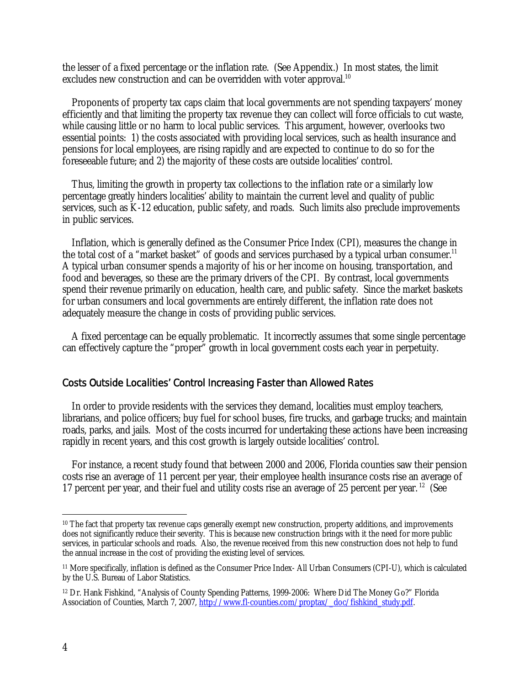the lesser of a fixed percentage or the inflation rate. (See Appendix.) In most states, the limit excludes new construction and can be overridden with voter approval.<sup>10</sup>

Proponents of property tax caps claim that local governments are not spending taxpayers' money efficiently and that limiting the property tax revenue they can collect will force officials to cut waste, while causing little or no harm to local public services. This argument, however, overlooks two essential points: 1) the costs associated with providing local services, such as health insurance and pensions for local employees, are rising rapidly and are expected to continue to do so for the foreseeable future; and 2) the majority of these costs are outside localities' control.

 Thus, limiting the growth in property tax collections to the inflation rate or a similarly low percentage greatly hinders localities' ability to maintain the current level and quality of public services, such as K-12 education, public safety, and roads. Such limits also preclude improvements in public services.

 Inflation, which is generally defined as the Consumer Price Index (CPI), measures the change in the total cost of a "market basket" of goods and services purchased by a typical urban consumer.<sup>11</sup> A typical urban consumer spends a majority of his or her income on housing, transportation, and food and beverages, so these are the primary drivers of the CPI. By contrast, local governments spend their revenue primarily on education, health care, and public safety. Since the market baskets for urban consumers and local governments are entirely different, the inflation rate does not adequately measure the change in costs of providing public services.

 A fixed percentage can be equally problematic. It incorrectly assumes that some single percentage can effectively capture the "proper" growth in local government costs each year in perpetuity.

## Costs Outside Localities' Control Increasing Faster than Allowed Rates

 In order to provide residents with the services they demand, localities must employ teachers, librarians, and police officers; buy fuel for school buses, fire trucks, and garbage trucks; and maintain roads, parks, and jails. Most of the costs incurred for undertaking these actions have been increasing rapidly in recent years, and this cost growth is largely outside localities' control.

 For instance, a recent study found that between 2000 and 2006, Florida counties saw their pension costs rise an average of 11 percent per year, their employee health insurance costs rise an average of 17 percent per year, and their fuel and utility costs rise an average of 25 percent per year. 12 (See

<sup>-</sup><sup>10</sup> The fact that property tax revenue caps generally exempt new construction, property additions, and improvements does not significantly reduce their severity. This is because new construction brings with it the need for more public services, in particular schools and roads. Also, the revenue received from this new construction does not help to fund the annual increase in the cost of providing the existing level of services.

<sup>11</sup> More specifically, inflation is defined as the Consumer Price Index- All Urban Consumers (CPI-U), which is calculated by the U.S. Bureau of Labor Statistics.

<sup>12</sup> Dr. Hank Fishkind, "Analysis of County Spending Patterns, 1999-2006: Where Did The Money Go?" Florida Association of Counties, March 7, 2007, http://www.fl-counties.com/proptax/\_doc/fishkind\_study.pdf.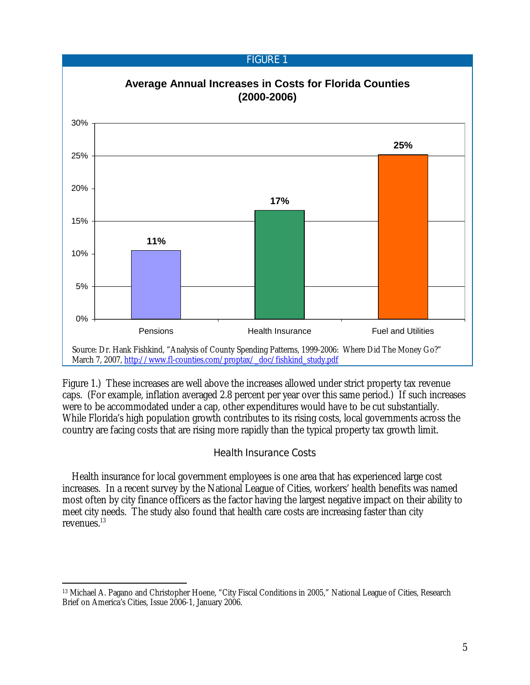

Figure 1.) These increases are well above the increases allowed under strict property tax revenue caps. (For example, inflation averaged 2.8 percent per year over this same period.) If such increases were to be accommodated under a cap, other expenditures would have to be cut substantially. While Florida's high population growth contributes to its rising costs, local governments across the country are facing costs that are rising more rapidly than the typical property tax growth limit.

## Health Insurance Costs

Health insurance for local government employees is one area that has experienced large cost increases. In a recent survey by the National League of Cities, workers' health benefits was named most often by city finance officers as the factor having the largest negative impact on their ability to meet city needs. The study also found that health care costs are increasing faster than city revenues<sup>13</sup>

<sup>-</sup>13 Michael A. Pagano and Christopher Hoene, "City Fiscal Conditions in 2005," National League of Cities, Research Brief on America's Cities, Issue 2006-1, January 2006.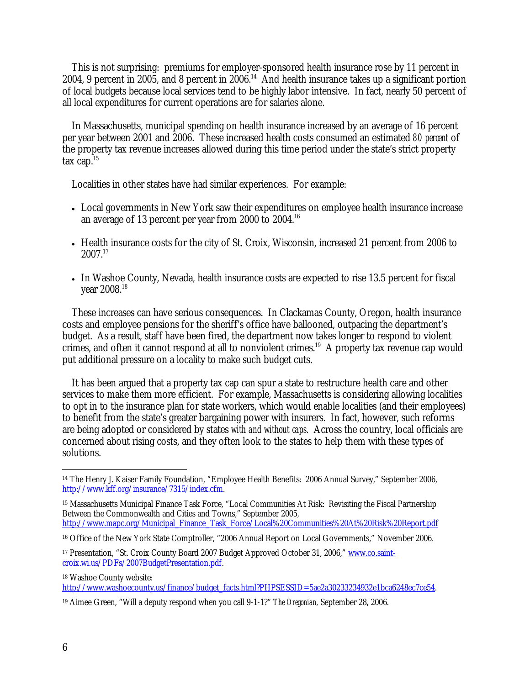This is not surprising: premiums for employer-sponsored health insurance rose by 11 percent in 2004, 9 percent in 2005, and 8 percent in  $2006<sup>14</sup>$  And health insurance takes up a significant portion of local budgets because local services tend to be highly labor intensive. In fact, nearly 50 percent of all local expenditures for current operations are for salaries alone.

In Massachusetts, municipal spending on health insurance increased by an average of 16 percent per year between 2001 and 2006. These increased health costs consumed an estimated *80 percent* of the property tax revenue increases allowed during this time period under the state's strict property tax cap. $15$ 

Localities in other states have had similar experiences. For example:

- Local governments in New York saw their expenditures on employee health insurance increase an average of 13 percent per year from 2000 to 2004.16
- Health insurance costs for the city of St. Croix, Wisconsin, increased 21 percent from 2006 to  $2007^{17}$
- In Washoe County, Nevada, health insurance costs are expected to rise 13.5 percent for fiscal year 2008.18

 These increases can have serious consequences. In Clackamas County, Oregon, health insurance costs and employee pensions for the sheriff's office have ballooned, outpacing the department's budget. As a result, staff have been fired, the department now takes longer to respond to violent crimes, and often it cannot respond at all to nonviolent crimes.<sup>19</sup> A property tax revenue cap would put additional pressure on a locality to make such budget cuts.

 It has been argued that a property tax cap can spur a state to restructure health care and other services to make them more efficient. For example, Massachusetts is considering allowing localities to opt in to the insurance plan for state workers, which would enable localities (and their employees) to benefit from the state's greater bargaining power with insurers. In fact, however, such reforms are being adopted or considered by states *with and without caps.* Across the country, local officials are concerned about rising costs, and they often look to the states to help them with these types of solutions.

18 Washoe County website:

http://www.washoecounty.us/finance/budget\_facts.html?PHPSESSID=5ae2a30233234932e1bca6248ec7ce54.

 $\overline{a}$ 14 The Henry J. Kaiser Family Foundation, "Employee Health Benefits: 2006 Annual Survey," September 2006, http://www.kff.org/insurance/7315/index.cfm.

<sup>15</sup> Massachusetts Municipal Finance Task Force, "Local Communities At Risk: Revisiting the Fiscal Partnership Between the Commonwealth and Cities and Towns," September 2005, http://www.mapc.org/Municipal\_Finance\_Task\_Force/Local%20Communities%20At%20Risk%20Report.pdf

<sup>16</sup> Office of the New York State Comptroller, "2006 Annual Report on Local Governments," November 2006.

<sup>17</sup> Presentation, "St. Croix County Board 2007 Budget Approved October 31, 2006," www.co.saintcroix.wi.us/PDFs/2007BudgetPresentation.pdf.

<sup>19</sup> Aimee Green, "Will a deputy respond when you call 9-1-1?" *The Oregonian,* September 28, 2006.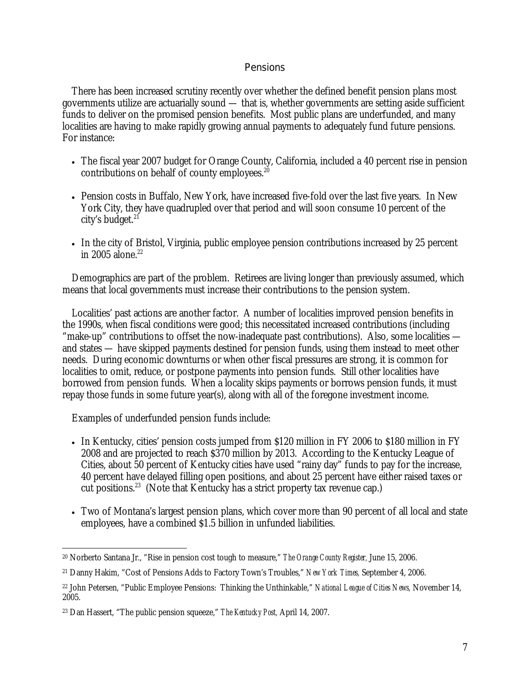## Pensions

 There has been increased scrutiny recently over whether the defined benefit pension plans most governments utilize are actuarially sound — that is, whether governments are setting aside sufficient funds to deliver on the promised pension benefits. Most public plans are underfunded, and many localities are having to make rapidly growing annual payments to adequately fund future pensions. For instance:

- The fiscal year 2007 budget for Orange County, California, included a 40 percent rise in pension contributions on behalf of county employees.<sup>20</sup>
- Pension costs in Buffalo, New York, have increased five-fold over the last five years. In New York City, they have quadrupled over that period and will soon consume 10 percent of the city's budget. $21$
- In the city of Bristol, Virginia, public employee pension contributions increased by 25 percent in  $2005$  alone.<sup>22</sup>

 Demographics are part of the problem. Retirees are living longer than previously assumed, which means that local governments must increase their contributions to the pension system.

 Localities' past actions are another factor. A number of localities improved pension benefits in the 1990s, when fiscal conditions were good; this necessitated increased contributions (including "make-up" contributions to offset the now-inadequate past contributions). Also, some localities and states — have skipped payments destined for pension funds, using them instead to meet other needs. During economic downturns or when other fiscal pressures are strong, it is common for localities to omit, reduce, or postpone payments into pension funds. Still other localities have borrowed from pension funds. When a locality skips payments or borrows pension funds, it must repay those funds in some future year(s), along with all of the foregone investment income.

Examples of underfunded pension funds include:

- In Kentucky, cities' pension costs jumped from \$120 million in FY 2006 to \$180 million in FY 2008 and are projected to reach \$370 million by 2013. According to the Kentucky League of Cities, about 50 percent of Kentucky cities have used "rainy day" funds to pay for the increase, 40 percent have delayed filling open positions, and about 25 percent have either raised taxes or cut positions.<sup>23</sup> (Note that Kentucky has a strict property tax revenue cap.)
- Two of Montana's largest pension plans, which cover more than 90 percent of all local and state employees, have a combined \$1.5 billion in unfunded liabilities.

 $\overline{a}$ 20 Norberto Santana Jr., "Rise in pension cost tough to measure," *The Orange County Register,* June 15, 2006.

<sup>21</sup> Danny Hakim, "Cost of Pensions Adds to Factory Town's Troubles," *New York Times,* September 4, 2006.

<sup>22</sup> John Petersen, "Public Employee Pensions: Thinking the Unthinkable," *National League of Cities News,* November 14, 2005.

<sup>23</sup> Dan Hassert, "The public pension squeeze," *The Kentucky Post,* April 14, 2007.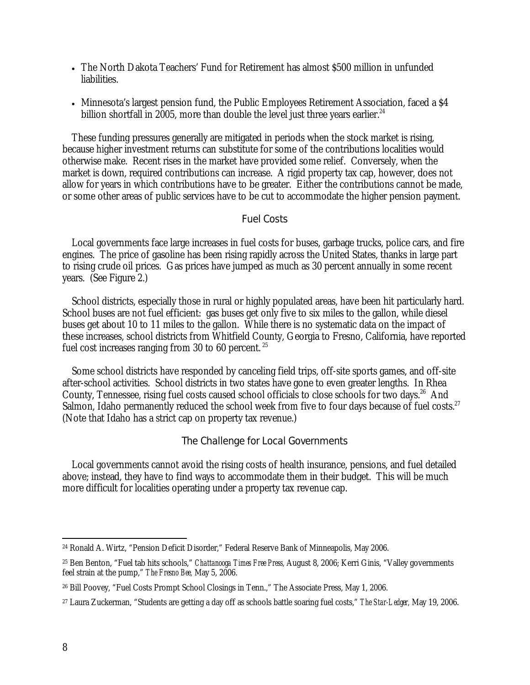- The North Dakota Teachers' Fund for Retirement has almost \$500 million in unfunded liabilities.
- Minnesota's largest pension fund, the Public Employees Retirement Association, faced a \$4 billion shortfall in 2005, more than double the level just three years earlier.<sup>24</sup>

 These funding pressures generally are mitigated in periods when the stock market is rising, because higher investment returns can substitute for some of the contributions localities would otherwise make. Recent rises in the market have provided some relief. Conversely, when the market is down, required contributions can increase. A rigid property tax cap, however, does not allow for years in which contributions have to be greater. Either the contributions cannot be made, or some other areas of public services have to be cut to accommodate the higher pension payment.

## Fuel Costs

 Local governments face large increases in fuel costs for buses, garbage trucks, police cars, and fire engines. The price of gasoline has been rising rapidly across the United States, thanks in large part to rising crude oil prices. Gas prices have jumped as much as 30 percent annually in some recent years. (See Figure 2.)

 School districts, especially those in rural or highly populated areas, have been hit particularly hard. School buses are not fuel efficient: gas buses get only five to six miles to the gallon, while diesel buses get about 10 to 11 miles to the gallon. While there is no systematic data on the impact of these increases, school districts from Whitfield County, Georgia to Fresno, California, have reported fuel cost increases ranging from 30 to 60 percent.<sup>25</sup>

 Some school districts have responded by canceling field trips, off-site sports games, and off-site after-school activities. School districts in two states have gone to even greater lengths. In Rhea County, Tennessee, rising fuel costs caused school officials to close schools for two days.<sup>26</sup> And Salmon, Idaho permanently reduced the school week from five to four days because of fuel costs.<sup>27</sup> (Note that Idaho has a strict cap on property tax revenue.)

## The Challenge for Local Governments

 Local governments cannot avoid the rising costs of health insurance, pensions, and fuel detailed above; instead, they have to find ways to accommodate them in their budget. This will be much more difficult for localities operating under a property tax revenue cap.

 $\overline{a}$ 24 Ronald A. Wirtz, "Pension Deficit Disorder," Federal Reserve Bank of Minneapolis, May 2006.

<sup>25</sup> Ben Benton, "Fuel tab hits schools," *Chattanooga Times Free Press,* August 8, 2006; Kerri Ginis, "Valley governments feel strain at the pump," *The Fresno Bee,* May 5, 2006.

<sup>26</sup> Bill Poovey, "Fuel Costs Prompt School Closings in Tenn.," The Associate Press, May 1, 2006.

<sup>27</sup> Laura Zuckerman, "Students are getting a day off as schools battle soaring fuel costs," *The Star-Ledger,* May 19, 2006.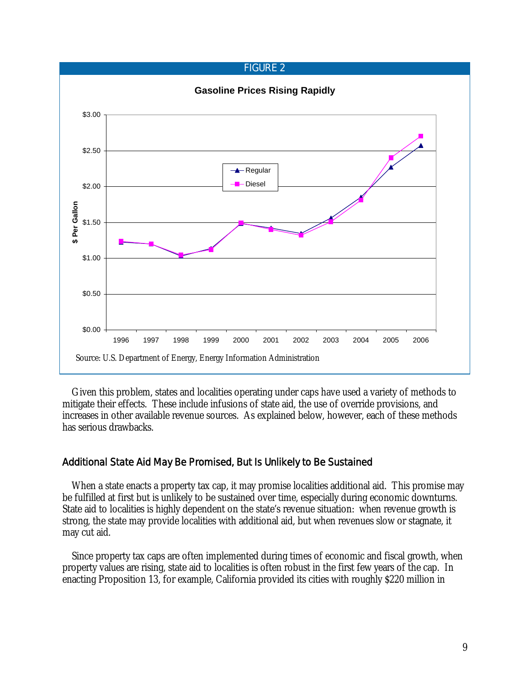#### FIGURE 2



 Given this problem, states and localities operating under caps have used a variety of methods to mitigate their effects. These include infusions of state aid, the use of override provisions, and increases in other available revenue sources. As explained below, however, each of these methods has serious drawbacks.

## Additional State Aid May Be Promised, But Is Unlikely to Be Sustained

When a state enacts a property tax cap, it may promise localities additional aid. This promise may be fulfilled at first but is unlikely to be sustained over time, especially during economic downturns. State aid to localities is highly dependent on the state's revenue situation: when revenue growth is strong, the state may provide localities with additional aid, but when revenues slow or stagnate, it may cut aid.

 Since property tax caps are often implemented during times of economic and fiscal growth, when property values are rising, state aid to localities is often robust in the first few years of the cap. In enacting Proposition 13, for example, California provided its cities with roughly \$220 million in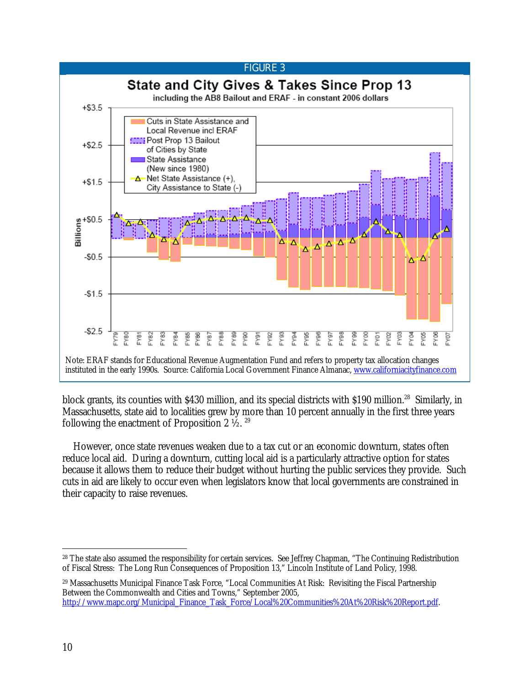

block grants, its counties with \$430 million, and its special districts with \$190 million.<sup>28</sup> Similarly, in Massachusetts, state aid to localities grew by more than 10 percent annually in the first three years following the enactment of Proposition 2  $\frac{1}{2}$ . <sup>29</sup>

However, once state revenues weaken due to a tax cut or an economic downturn, states often reduce local aid. During a downturn, cutting local aid is a particularly attractive option for states because it allows them to reduce their budget without hurting the public services they provide. Such cuts in aid are likely to occur even when legislators know that local governments are constrained in their capacity to raise revenues.

29 Massachusetts Municipal Finance Task Force, "Local Communities At Risk: Revisiting the Fiscal Partnership Between the Commonwealth and Cities and Towns," September 2005, http://www.mapc.org/Municipal\_Finance\_Task\_Force/Local%20Communities%20At%20Risk%20Report.pdf.

 $\overline{a}$ <sup>28</sup> The state also assumed the responsibility for certain services. See Jeffrey Chapman, "The Continuing Redistribution of Fiscal Stress: The Long Run Consequences of Proposition 13," Lincoln Institute of Land Policy, 1998.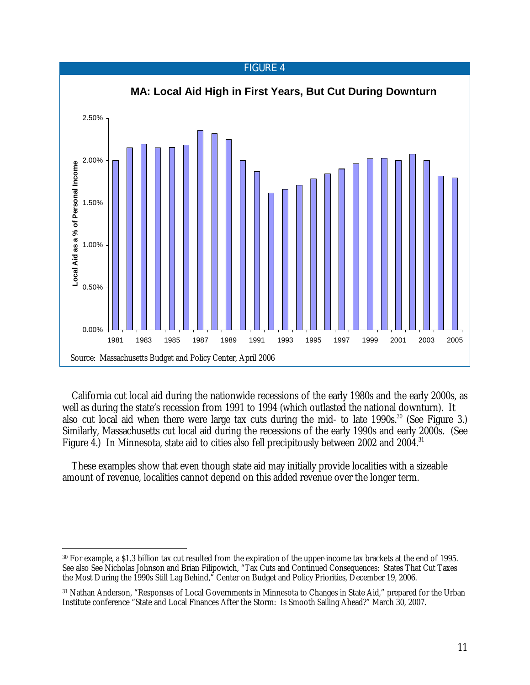

California cut local aid during the nationwide recessions of the early 1980s and the early 2000s, as well as during the state's recession from 1991 to 1994 (which outlasted the national downturn). It also cut local aid when there were large tax cuts during the mid- to late  $1990s$ <sup>30</sup> (See Figure 3.) Similarly, Massachusetts cut local aid during the recessions of the early 1990s and early 2000s. (See Figure 4.) In Minnesota, state aid to cities also fell precipitously between 2002 and 2004.<sup>31</sup>

 These examples show that even though state aid may initially provide localities with a sizeable amount of revenue, localities cannot depend on this added revenue over the longer term.

 $\overline{a}$ 30 For example, a \$1.3 billion tax cut resulted from the expiration of the upper-income tax brackets at the end of 1995. See also See Nicholas Johnson and Brian Filipowich, "Tax Cuts and Continued Consequences: States That Cut Taxes the Most During the 1990s Still Lag Behind," Center on Budget and Policy Priorities, December 19, 2006.

<sup>31</sup> Nathan Anderson, "Responses of Local Governments in Minnesota to Changes in State Aid," prepared for the Urban Institute conference "State and Local Finances After the Storm: Is Smooth Sailing Ahead?" March 30, 2007.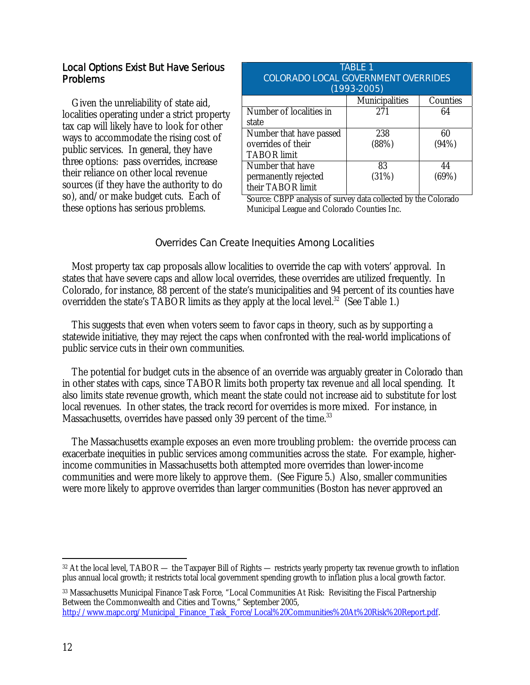# Local Options Exist But Have Serious Problems

 Given the unreliability of state aid, localities operating under a strict property tax cap will likely have to look for other ways to accommodate the rising cost of public services. In general, they have three options: pass overrides, increase their reliance on other local revenue sources (if they have the authority to do so), and/or make budget cuts. Each of these options has serious problems.

| TABLE 1<br><b>COLORADO LOCAL GOVERNMENT OVERRIDES</b><br>$(1993-2005)$ |                |          |  |  |
|------------------------------------------------------------------------|----------------|----------|--|--|
|                                                                        | Municipalities | Counties |  |  |
| Number of localities in                                                | 271            | 64       |  |  |
| state                                                                  |                |          |  |  |
| Number that have passed                                                | 238            | 60       |  |  |
| overrides of their                                                     | (88%)          | (94%)    |  |  |
| <b>TABOR</b> limit                                                     |                |          |  |  |
| Number that have                                                       | 83             | 44       |  |  |
| permanently rejected                                                   | (31%)          | (69%)    |  |  |
| their TABOR limit                                                      |                |          |  |  |

Source: CBPP analysis of survey data collected by the Colorado Municipal League and Colorado Counties Inc.

# Overrides Can Create Inequities Among Localities

 Most property tax cap proposals allow localities to override the cap with voters' approval. In states that have severe caps and allow local overrides, these overrides are utilized frequently. In Colorado, for instance, 88 percent of the state's municipalities and 94 percent of its counties have overridden the state's TABOR limits as they apply at the local level.<sup>32</sup> (See Table 1.)

 This suggests that even when voters seem to favor caps in theory, such as by supporting a statewide initiative, they may reject the caps when confronted with the real-world implications of public service cuts in their own communities.

 The potential for budget cuts in the absence of an override was arguably greater in Colorado than in other states with caps, since TABOR limits both property tax revenue *and* all local spending. It also limits state revenue growth, which meant the state could not increase aid to substitute for lost local revenues. In other states, the track record for overrides is more mixed. For instance, in Massachusetts, overrides have passed only 39 percent of the time.<sup>33</sup>

 The Massachusetts example exposes an even more troubling problem: the override process can exacerbate inequities in public services among communities across the state. For example, higherincome communities in Massachusetts both attempted more overrides than lower-income communities and were more likely to approve them. (See Figure 5.) Also, smaller communities were more likely to approve overrides than larger communities (Boston has never approved an

33 Massachusetts Municipal Finance Task Force, "Local Communities At Risk: Revisiting the Fiscal Partnership Between the Commonwealth and Cities and Towns," September 2005,

 $\overline{a}$ 32 At the local level, TABOR — the Taxpayer Bill of Rights — restricts yearly property tax revenue growth to inflation plus annual local growth; it restricts total local government spending growth to inflation plus a local growth factor.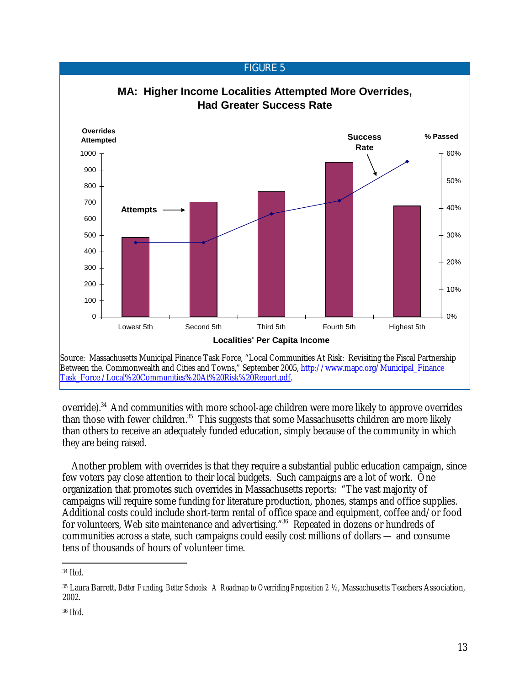#### FIGURE 5 **MA: Higher Income Localities Attempted More Overrides, Had Greater Success Rate**  $\Omega$ 100 200 300 400 500 600 700 800 900 1000 Lowest 5th Second 5th Third 5th Fourth 5th Highest 5th **Localities' Per Capita Income Overrides Attempted** 0% 10% 20% 30% 40% 50% 60% **% Passed Attempts Success Rate** Source: Massachusetts Municipal Finance Task Force, "Local Communities At Risk: Revisiting the Fiscal Partnership Between the. Commonwealth and Cities and Towns," September 2005, http://www.mapc.org/Municipal\_Finance Task\_Force /Local%20Communities%20At%20Risk%20Report.pdf.

override).34 And communities with more school-age children were more likely to approve overrides than those with fewer children.<sup>35</sup> This suggests that some Massachusetts children are more likely than others to receive an adequately funded education, simply because of the community in which they are being raised.

 Another problem with overrides is that they require a substantial public education campaign, since few voters pay close attention to their local budgets. Such campaigns are a lot of work. One organization that promotes such overrides in Massachusetts reports: "The vast majority of campaigns will require some funding for literature production, phones, stamps and office supplies. Additional costs could include short-term rental of office space and equipment, coffee and/or food for volunteers, Web site maintenance and advertising."36 Repeated in dozens or hundreds of communities across a state, such campaigns could easily cost millions of dollars — and consume tens of thousands of hours of volunteer time.

<sup>-</sup><sup>34</sup> *Ibid.*

<sup>35</sup> Laura Barrett, *Better Funding, Better Schools: A Roadmap to Overriding Proposition 2 ½*, Massachusetts Teachers Association, 2002.

<sup>36</sup> *Ibid.*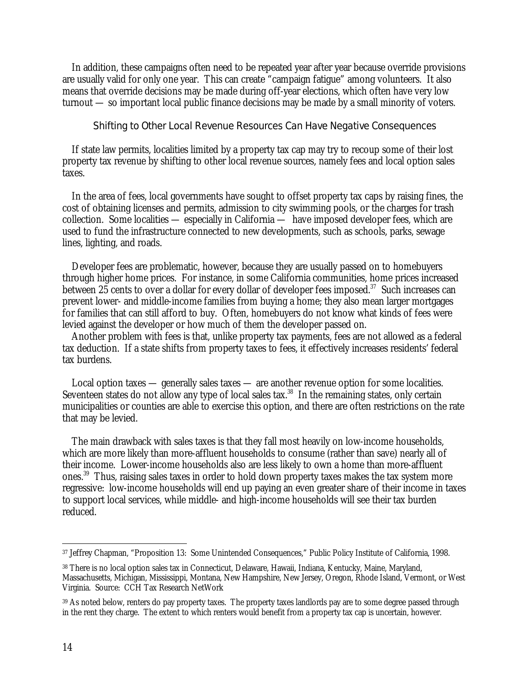In addition, these campaigns often need to be repeated year after year because override provisions are usually valid for only one year. This can create "campaign fatigue" among volunteers. It also means that override decisions may be made during off-year elections, which often have very low turnout — so important local public finance decisions may be made by a small minority of voters.

#### Shifting to Other Local Revenue Resources Can Have Negative Consequences

 If state law permits, localities limited by a property tax cap may try to recoup some of their lost property tax revenue by shifting to other local revenue sources, namely fees and local option sales taxes.

 In the area of fees, local governments have sought to offset property tax caps by raising fines, the cost of obtaining licenses and permits, admission to city swimming pools, or the charges for trash collection. Some localities — especially in California — have imposed developer fees, which are used to fund the infrastructure connected to new developments, such as schools, parks, sewage lines, lighting, and roads.

 Developer fees are problematic, however, because they are usually passed on to homebuyers through higher home prices. For instance, in some California communities, home prices increased between 25 cents to over a dollar for every dollar of developer fees imposed.<sup>37</sup> Such increases can prevent lower- and middle-income families from buying a home; they also mean larger mortgages for families that can still afford to buy. Often, homebuyers do not know what kinds of fees were levied against the developer or how much of them the developer passed on.

 Another problem with fees is that, unlike property tax payments, fees are not allowed as a federal tax deduction. If a state shifts from property taxes to fees, it effectively increases residents' federal tax burdens.

 Local option taxes — generally sales taxes — are another revenue option for some localities. Seventeen states do not allow any type of local sales tax.<sup>38</sup> In the remaining states, only certain municipalities or counties are able to exercise this option, and there are often restrictions on the rate that may be levied.

 The main drawback with sales taxes is that they fall most heavily on low-income households, which are more likely than more-affluent households to consume (rather than save) nearly all of their income. Lower-income households also are less likely to own a home than more-affluent ones.39 Thus, raising sales taxes in order to hold down property taxes makes the tax system more regressive: low-income households will end up paying an even greater share of their income in taxes to support local services, while middle- and high-income households will see their tax burden reduced.

 $\overline{a}$ 37 Jeffrey Chapman, "Proposition 13: Some Unintended Consequences," Public Policy Institute of California, 1998.

<sup>38</sup> There is no local option sales tax in Connecticut, Delaware, Hawaii, Indiana, Kentucky, Maine, Maryland, Massachusetts, Michigan, Mississippi, Montana, New Hampshire, New Jersey, Oregon, Rhode Island, Vermont, or West Virginia. Source: CCH Tax Research NetWork

<sup>39</sup> As noted below, renters do pay property taxes. The property taxes landlords pay are to some degree passed through in the rent they charge. The extent to which renters would benefit from a property tax cap is uncertain, however.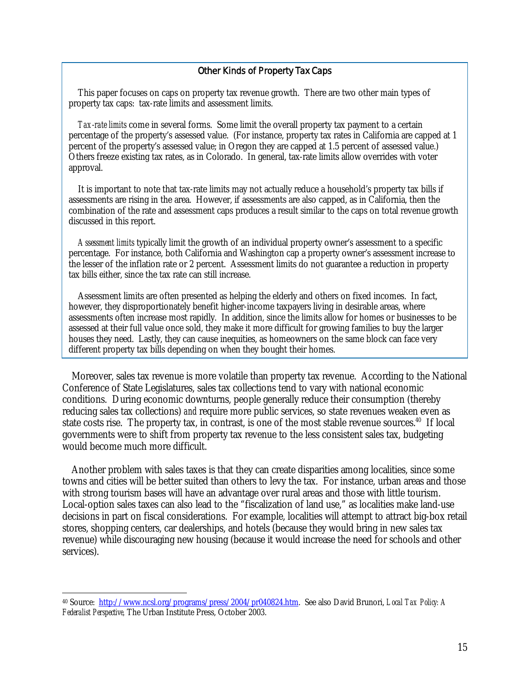#### Other Kinds of Property Tax Caps

 This paper focuses on caps on property tax revenue growth. There are two other main types of property tax caps: tax-rate limits and assessment limits.

*Tax-rate limits* come in several forms. Some limit the overall property tax payment to a certain percentage of the property's assessed value. (For instance, property tax rates in California are capped at 1 percent of the property's assessed value; in Oregon they are capped at 1.5 percent of assessed value.) Others freeze existing tax rates, as in Colorado. In general, tax-rate limits allow overrides with voter approval.

 It is important to note that tax-rate limits may not actually reduce a household's property tax bills if assessments are rising in the area. However, if assessments are also capped, as in California, then the combination of the rate and assessment caps produces a result similar to the caps on total revenue growth discussed in this report.

*Assessment limits* typically limit the growth of an individual property owner's assessment to a specific percentage. For instance, both California and Washington cap a property owner's assessment increase to the lesser of the inflation rate or 2 percent. Assessment limits do not guarantee a reduction in property tax bills either, since the tax rate can still increase.

 Assessment limits are often presented as helping the elderly and others on fixed incomes. In fact, however, they disproportionately benefit higher-income taxpayers living in desirable areas, where assessments often increase most rapidly. In addition, since the limits allow for homes or businesses to be assessed at their full value once sold, they make it more difficult for growing families to buy the larger houses they need. Lastly, they can cause inequities, as homeowners on the same block can face very different property tax bills depending on when they bought their homes.

 Moreover, sales tax revenue is more volatile than property tax revenue. According to the National Conference of State Legislatures, sales tax collections tend to vary with national economic conditions. During economic downturns, people generally reduce their consumption (thereby reducing sales tax collections) *and* require more public services, so state revenues weaken even as state costs rise. The property tax, in contrast, is one of the most stable revenue sources.<sup>40</sup> If local governments were to shift from property tax revenue to the less consistent sales tax, budgeting would become much more difficult.

 Another problem with sales taxes is that they can create disparities among localities, since some towns and cities will be better suited than others to levy the tax. For instance, urban areas and those with strong tourism bases will have an advantage over rural areas and those with little tourism. Local-option sales taxes can also lead to the "fiscalization of land use," as localities make land-use decisions in part on fiscal considerations. For example, localities will attempt to attract big-box retail stores, shopping centers, car dealerships, and hotels (because they would bring in new sales tax revenue) while discouraging new housing (because it would increase the need for schools and other services).

 $\overline{a}$ 

<sup>40</sup> Source: http://www.ncsl.org/programs/press/2004/pr040824.htm. See also David Brunori, *Local Tax Policy: A Federalist Perspective,* The Urban Institute Press, October 2003.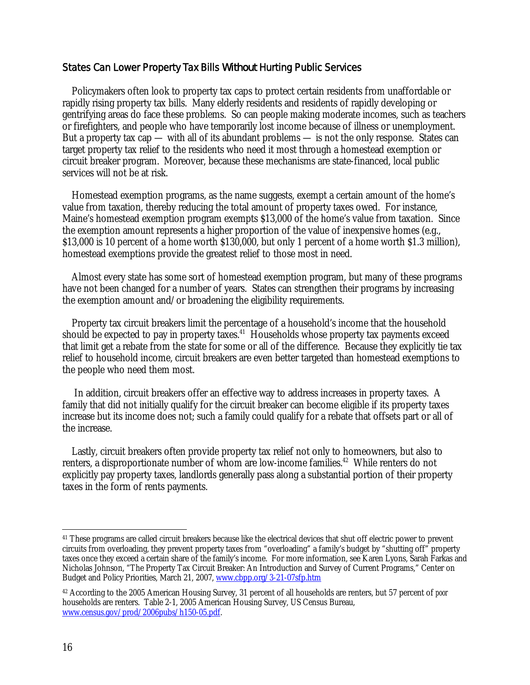## States Can Lower Property Tax Bills *Without* Hurting Public Services

 Policymakers often look to property tax caps to protect certain residents from unaffordable or rapidly rising property tax bills. Many elderly residents and residents of rapidly developing or gentrifying areas do face these problems. So can people making moderate incomes, such as teachers or firefighters, and people who have temporarily lost income because of illness or unemployment. But a property tax cap — with all of its abundant problems — is not the only response. States can target property tax relief to the residents who need it most through a homestead exemption or circuit breaker program. Moreover, because these mechanisms are state-financed, local public services will not be at risk.

 Homestead exemption programs, as the name suggests, exempt a certain amount of the home's value from taxation, thereby reducing the total amount of property taxes owed. For instance, Maine's homestead exemption program exempts \$13,000 of the home's value from taxation. Since the exemption amount represents a higher proportion of the value of inexpensive homes (e.g., \$13,000 is 10 percent of a home worth \$130,000, but only 1 percent of a home worth \$1.3 million), homestead exemptions provide the greatest relief to those most in need.

 Almost every state has some sort of homestead exemption program, but many of these programs have not been changed for a number of years. States can strengthen their programs by increasing the exemption amount and/or broadening the eligibility requirements.

 Property tax circuit breakers limit the percentage of a household's income that the household should be expected to pay in property taxes.<sup>41</sup> Households whose property tax payments exceed that limit get a rebate from the state for some or all of the difference. Because they explicitly tie tax relief to household income, circuit breakers are even better targeted than homestead exemptions to the people who need them most.

 In addition, circuit breakers offer an effective way to address increases in property taxes. A family that did not initially qualify for the circuit breaker can become eligible if its property taxes increase but its income does not; such a family could qualify for a rebate that offsets part or all of the increase.

 Lastly, circuit breakers often provide property tax relief not only to homeowners, but also to renters, a disproportionate number of whom are low-income families.<sup>42</sup> While renters do not explicitly pay property taxes, landlords generally pass along a substantial portion of their property taxes in the form of rents payments.

 $\overline{a}$ <sup>41</sup> These programs are called circuit breakers because like the electrical devices that shut off electric power to prevent circuits from overloading, they prevent property taxes from "overloading" a family's budget by "shutting off" property taxes once they exceed a certain share of the family's income. For more information, see Karen Lyons, Sarah Farkas and Nicholas Johnson, "The Property Tax Circuit Breaker: An Introduction and Survey of Current Programs," Center on Budget and Policy Priorities, March 21, 2007, www.cbpp.org/3-21-07sfp.htm

<sup>42</sup> According to the 2005 American Housing Survey, 31 percent of all households are renters, but 57 percent of *poor*  households are renters. Table 2-1, 2005 American Housing Survey, US Census Bureau, www.census.gov/prod/2006pubs/h150-05.pdf.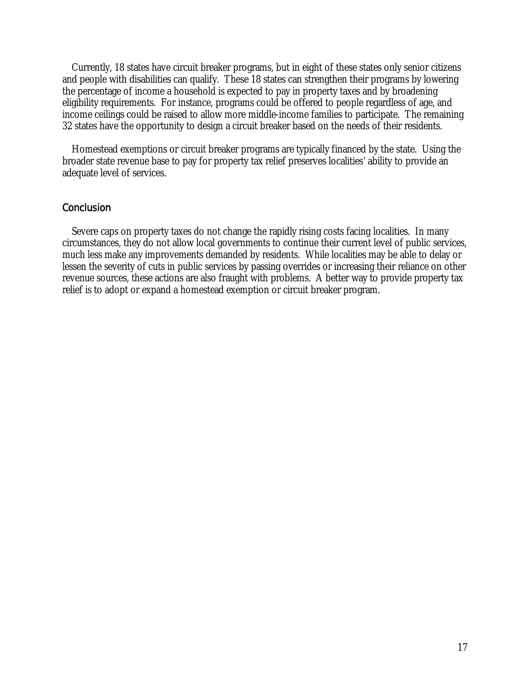Currently, 18 states have circuit breaker programs, but in eight of these states only senior citizens and people with disabilities can qualify. These 18 states can strengthen their programs by lowering the percentage of income a household is expected to pay in property taxes and by broadening eligibility requirements. For instance, programs could be offered to people regardless of age, and income ceilings could be raised to allow more middle-income families to participate. The remaining 32 states have the opportunity to design a circuit breaker based on the needs of their residents.

 Homestead exemptions or circuit breaker programs are typically financed by the state. Using the broader state revenue base to pay for property tax relief preserves localities' ability to provide an adequate level of services.

## **Conclusion**

 Severe caps on property taxes do not change the rapidly rising costs facing localities. In many circumstances, they do not allow local governments to continue their current level of public services, much less make any improvements demanded by residents. While localities may be able to delay or lessen the severity of cuts in public services by passing overrides or increasing their reliance on other revenue sources, these actions are also fraught with problems. A better way to provide property tax relief is to adopt or expand a homestead exemption or circuit breaker program.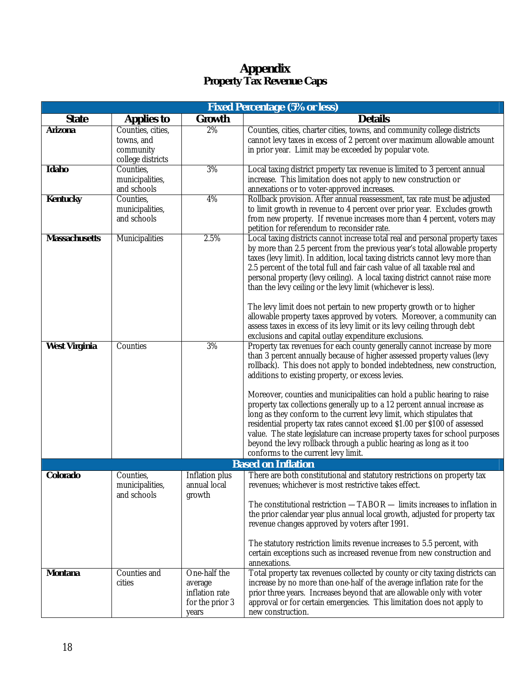# **Appendix Property Tax Revenue Caps**

| <b>Fixed Percentage (5% or less)</b> |                                                                   |                                                                       |                                                                                                                                                                                                                                                                                                                                                                                                                                                                                                                                                                                                                                                                                                                                                                                                  |  |
|--------------------------------------|-------------------------------------------------------------------|-----------------------------------------------------------------------|--------------------------------------------------------------------------------------------------------------------------------------------------------------------------------------------------------------------------------------------------------------------------------------------------------------------------------------------------------------------------------------------------------------------------------------------------------------------------------------------------------------------------------------------------------------------------------------------------------------------------------------------------------------------------------------------------------------------------------------------------------------------------------------------------|--|
| <b>State</b>                         | <b>Applies to</b>                                                 | <b>Growth</b>                                                         | <b>Details</b>                                                                                                                                                                                                                                                                                                                                                                                                                                                                                                                                                                                                                                                                                                                                                                                   |  |
| <b>Arizona</b>                       | Counties, cities,<br>towns, and<br>community<br>college districts | 2%                                                                    | Counties, cities, charter cities, towns, and community college districts<br>cannot levy taxes in excess of 2 percent over maximum allowable amount<br>in prior year. Limit may be exceeded by popular vote.                                                                                                                                                                                                                                                                                                                                                                                                                                                                                                                                                                                      |  |
| <b>Idaho</b>                         | Counties,<br>municipalities,<br>and schools                       | 3%                                                                    | Local taxing district property tax revenue is limited to 3 percent annual<br>increase. This limitation does not apply to new construction or<br>annexations or to voter-approved increases.                                                                                                                                                                                                                                                                                                                                                                                                                                                                                                                                                                                                      |  |
| <b>Kentucky</b>                      | Counties,<br>municipalities,<br>and schools                       | 4%                                                                    | Rollback provision. After annual reassessment, tax rate must be adjusted<br>to limit growth in revenue to 4 percent over prior year. Excludes growth<br>from new property. If revenue increases more than 4 percent, voters may<br>petition for referendum to reconsider rate.                                                                                                                                                                                                                                                                                                                                                                                                                                                                                                                   |  |
| <b>Massachusetts</b>                 | Municipalities                                                    | 2.5%                                                                  | Local taxing districts cannot increase total real and personal property taxes<br>by more than 2.5 percent from the previous year's total allowable property<br>taxes (levy limit). In addition, local taxing districts cannot levy more than<br>2.5 percent of the total full and fair cash value of all taxable real and<br>personal property (levy ceiling). A local taxing district cannot raise more<br>than the levy ceiling or the levy limit (whichever is less).<br>The levy limit does not pertain to new property growth or to higher<br>allowable property taxes approved by voters. Moreover, a community can<br>assess taxes in excess of its levy limit or its levy ceiling through debt<br>exclusions and capital outlay expenditure exclusions.                                  |  |
| <b>West Virginia</b>                 | Counties                                                          | 3%                                                                    | Property tax revenues for each county generally cannot increase by more<br>than 3 percent annually because of higher assessed property values (levy<br>rollback). This does not apply to bonded indebtedness, new construction,<br>additions to existing property, or excess levies.<br>Moreover, counties and municipalities can hold a public hearing to raise<br>property tax collections generally up to a 12 percent annual increase as<br>long as they conform to the current levy limit, which stipulates that<br>residential property tax rates cannot exceed \$1.00 per \$100 of assessed<br>value. The state legislature can increase property taxes for school purposes<br>beyond the levy rollback through a public hearing as long as it too<br>conforms to the current levy limit. |  |
| <b>Based on Inflation</b>            |                                                                   |                                                                       |                                                                                                                                                                                                                                                                                                                                                                                                                                                                                                                                                                                                                                                                                                                                                                                                  |  |
| Colorado                             | Counties,<br>municipalities,<br>and schools                       | Inflation plus<br>annual local<br>growth                              | There are both constitutional and statutory restrictions on property tax<br>revenues; whichever is most restrictive takes effect.<br>The constitutional restriction -TABOR - limits increases to inflation in<br>the prior calendar year plus annual local growth, adjusted for property tax<br>revenue changes approved by voters after 1991.<br>The statutory restriction limits revenue increases to 5.5 percent, with<br>certain exceptions such as increased revenue from new construction and<br>annexations.                                                                                                                                                                                                                                                                              |  |
| <b>Montana</b>                       | Counties and<br>cities                                            | One-half the<br>average<br>inflation rate<br>for the prior 3<br>years | Total property tax revenues collected by county or city taxing districts can<br>increase by no more than one-half of the average inflation rate for the<br>prior three years. Increases beyond that are allowable only with voter<br>approval or for certain emergencies. This limitation does not apply to<br>new construction.                                                                                                                                                                                                                                                                                                                                                                                                                                                                 |  |